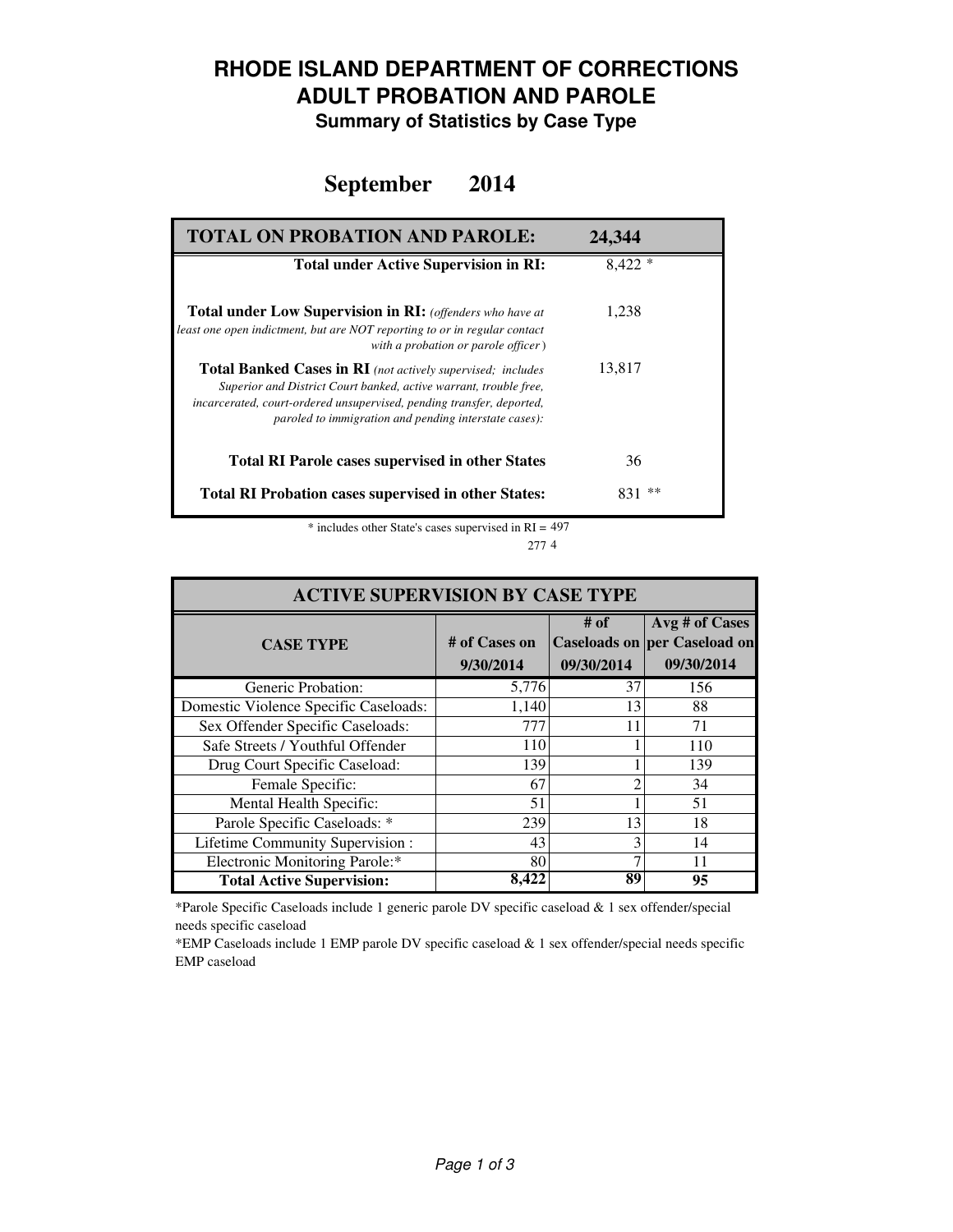## **RHODE ISLAND DEPARTMENT OF CORRECTIONS ADULT PROBATION AND PAROLE**

**Summary of Statistics by Case Type**

### **September 2014**

| <b>TOTAL ON PROBATION AND PAROLE:</b>                                                                                                                                                                                                                                     | 24.344    |
|---------------------------------------------------------------------------------------------------------------------------------------------------------------------------------------------------------------------------------------------------------------------------|-----------|
| <b>Total under Active Supervision in RI:</b>                                                                                                                                                                                                                              | $8,422*$  |
| <b>Total under Low Supervision in RI:</b> (offenders who have at<br>least one open indictment, but are NOT reporting to or in regular contact<br>with a probation or parole officer)                                                                                      | 1,238     |
| <b>Total Banked Cases in RI</b> (not actively supervised; includes<br>Superior and District Court banked, active warrant, trouble free,<br>incarcerated, court-ordered unsupervised, pending transfer, deported,<br>paroled to immigration and pending interstate cases): | 13,817    |
| <b>Total RI Parole cases supervised in other States</b>                                                                                                                                                                                                                   | 36        |
| <b>Total RI Probation cases supervised in other States:</b>                                                                                                                                                                                                               | **<br>831 |

\* includes other State's cases supervised in RI = 497 4 277

| <b>ACTIVE SUPERVISION BY CASE TYPE</b> |                            |                    |                                                                     |  |  |
|----------------------------------------|----------------------------|--------------------|---------------------------------------------------------------------|--|--|
| <b>CASE TYPE</b>                       | # of Cases on<br>9/30/2014 | # of<br>09/30/2014 | Avg # of Cases<br><b>Caseloads on per Caseload on</b><br>09/30/2014 |  |  |
| Generic Probation:                     | 5,776                      | 37                 | 156                                                                 |  |  |
| Domestic Violence Specific Caseloads:  | 1,140                      | 13                 | 88                                                                  |  |  |
| Sex Offender Specific Caseloads:       | 777                        | 11                 | 71                                                                  |  |  |
| Safe Streets / Youthful Offender       | 110                        |                    | 110                                                                 |  |  |
| Drug Court Specific Caseload:          | 139                        |                    | 139                                                                 |  |  |
| Female Specific:                       | 67                         |                    | 34                                                                  |  |  |
| Mental Health Specific:                | 51                         |                    | 51                                                                  |  |  |
| Parole Specific Caseloads: *           | 239                        | 13                 | 18                                                                  |  |  |
| Lifetime Community Supervision:        | 43                         |                    | 14                                                                  |  |  |
| Electronic Monitoring Parole:*         | 80                         |                    | 11                                                                  |  |  |
| <b>Total Active Supervision:</b>       | 8.422                      | 89                 | 95                                                                  |  |  |

\*Parole Specific Caseloads include 1 generic parole DV specific caseload & 1 sex offender/special needs specific caseload

\*EMP Caseloads include 1 EMP parole DV specific caseload & 1 sex offender/special needs specific EMP caseload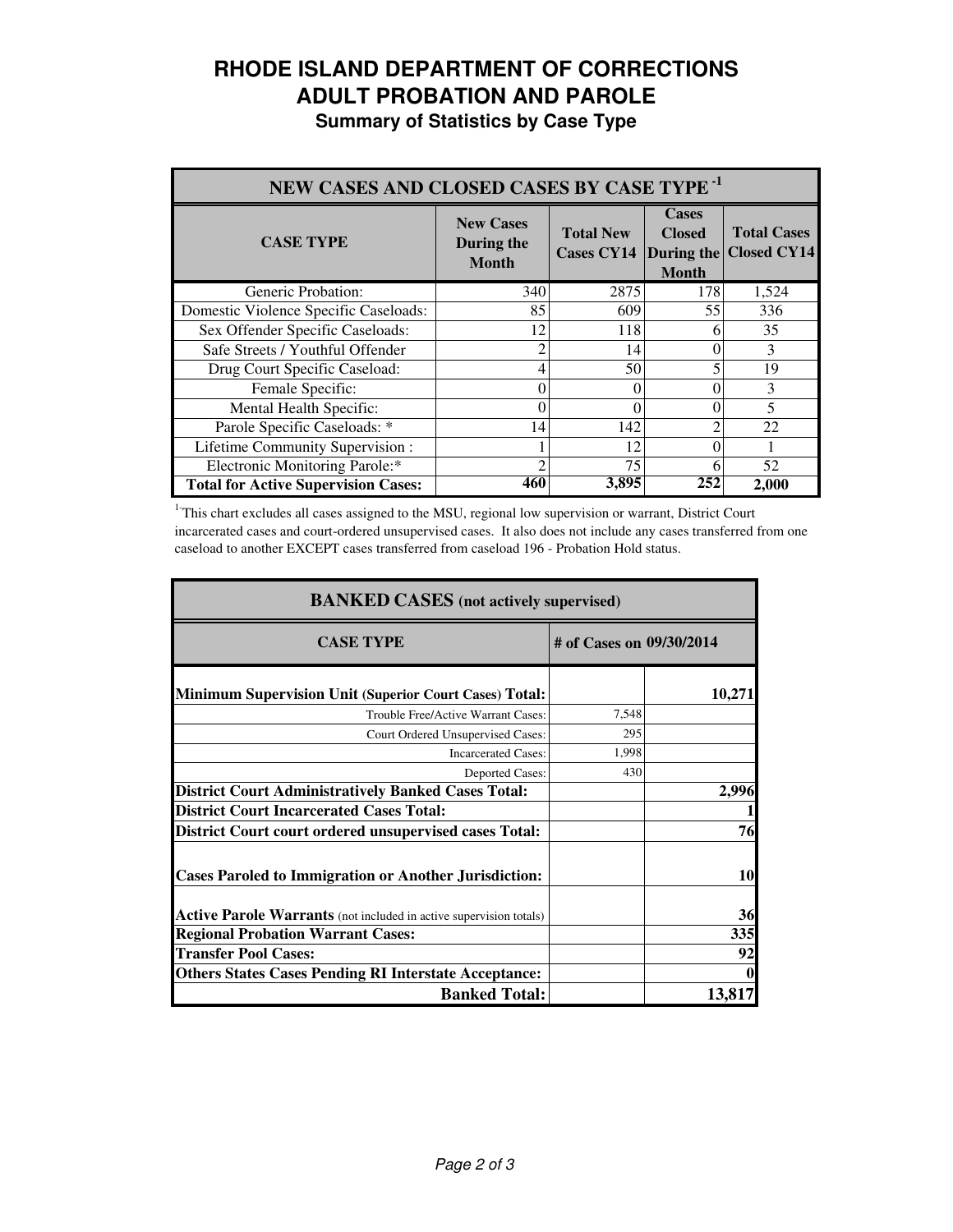# **RHODE ISLAND DEPARTMENT OF CORRECTIONS ADULT PROBATION AND PAROLE**

|  |  | <b>Summary of Statistics by Case Type</b> |  |  |  |
|--|--|-------------------------------------------|--|--|--|
|--|--|-------------------------------------------|--|--|--|

| NEW CASES AND CLOSED CASES BY CASE TYPE <sup>-1</sup> |                                                |                                                  |                                               |                                          |  |
|-------------------------------------------------------|------------------------------------------------|--------------------------------------------------|-----------------------------------------------|------------------------------------------|--|
| <b>CASE TYPE</b>                                      | <b>New Cases</b><br>During the<br><b>Month</b> | <b>Total New</b><br><b>Cases CY14 During the</b> | <b>Cases</b><br><b>Closed</b><br><b>Month</b> | <b>Total Cases</b><br><b>Closed CY14</b> |  |
| Generic Probation:                                    | 340                                            | 2875                                             | 178                                           | 1,524                                    |  |
| Domestic Violence Specific Caseloads:                 | 85                                             | 609                                              | 55                                            | 336                                      |  |
| Sex Offender Specific Caseloads:                      | 12                                             | 118                                              | h                                             | 35                                       |  |
| Safe Streets / Youthful Offender                      | 2                                              | 14                                               |                                               | 3                                        |  |
| Drug Court Specific Caseload:                         | 4                                              | 50                                               |                                               | 19                                       |  |
| Female Specific:                                      | 0                                              | 0                                                |                                               | 3                                        |  |
| Mental Health Specific:                               | 0                                              | 0                                                |                                               | 5                                        |  |
| Parole Specific Caseloads: *                          | 14                                             | 142                                              |                                               | 22                                       |  |
| Lifetime Community Supervision:                       |                                                | 12                                               |                                               |                                          |  |
| Electronic Monitoring Parole:*                        | ာ                                              | 75                                               | 6                                             | 52                                       |  |
| <b>Total for Active Supervision Cases:</b>            | 460                                            | 3,895                                            | 252                                           | 2,000                                    |  |

<sup>1</sup>This chart excludes all cases assigned to the MSU, regional low supervision or warrant, District Court incarcerated cases and court-ordered unsupervised cases. It also does not include any cases transferred from one caseload to another EXCEPT cases transferred from caseload 196 - Probation Hold status.

| <b>BANKED CASES</b> (not actively supervised)                      |                          |        |  |
|--------------------------------------------------------------------|--------------------------|--------|--|
| <b>CASE TYPE</b>                                                   | # of Cases on 09/30/2014 |        |  |
| <b>Minimum Supervision Unit (Superior Court Cases) Total:</b>      |                          | 10,271 |  |
| Trouble Free/Active Warrant Cases:                                 | 7,548                    |        |  |
| Court Ordered Unsupervised Cases:                                  | 295                      |        |  |
| <b>Incarcerated Cases:</b>                                         | 1.998                    |        |  |
| <b>Deported Cases:</b>                                             | 430                      |        |  |
| <b>District Court Administratively Banked Cases Total:</b>         |                          | 2,996  |  |
| <b>District Court Incarcerated Cases Total:</b>                    |                          |        |  |
| <b>District Court court ordered unsupervised cases Total:</b>      |                          | 76     |  |
| <b>Cases Paroled to Immigration or Another Jurisdiction:</b>       |                          | 10     |  |
| Active Parole Warrants (not included in active supervision totals) |                          | 36     |  |
| <b>Regional Probation Warrant Cases:</b>                           |                          | 335    |  |
| <b>Transfer Pool Cases:</b>                                        |                          | 92     |  |
| <b>Others States Cases Pending RI Interstate Acceptance:</b>       |                          |        |  |
| <b>Banked Total:</b>                                               |                          | 13,817 |  |